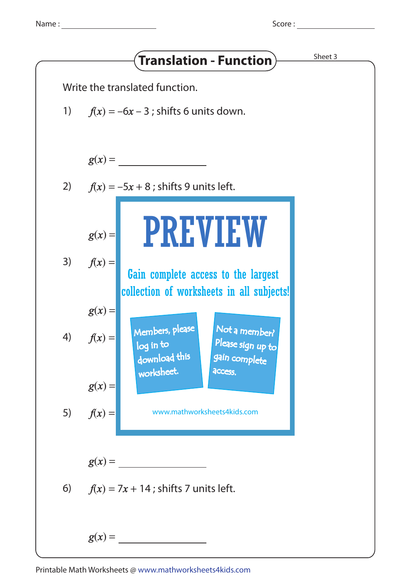